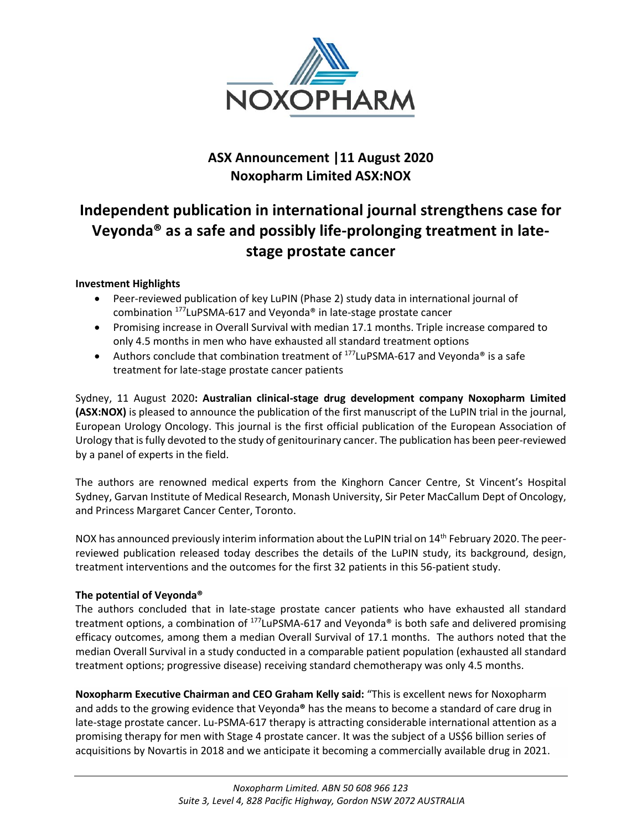

# **ASX Announcement |11 August 2020 Noxopharm Limited ASX:NOX**

# **Independent publication in international journal strengthens case for Veyonda® as a safe and possibly life-prolonging treatment in latestage prostate cancer**

## **Investment Highlights**

- Peer-reviewed publication of key LuPIN (Phase 2) study data in international journal of combination <sup>177</sup>LuPSMA-617 and Veyonda® in late-stage prostate cancer
- Promising increase in Overall Survival with median 17.1 months. Triple increase compared to only 4.5 months in men who have exhausted all standard treatment options
- Authors conclude that combination treatment of  $177$ LuPSMA-617 and Veyonda® is a safe treatment for late-stage prostate cancer patients

Sydney, 11 August 2020**: Australian clinical-stage drug development company Noxopharm Limited (ASX:NOX)** is pleased to announce the publication of the first manuscript of the LuPIN trial in the journal, European Urology Oncology. This journal is the first official publication of the European Association of Urology that is fully devoted to the study of genitourinary cancer. The publication has been peer-reviewed by a panel of experts in the field.

The authors are renowned medical experts from the Kinghorn Cancer Centre, St Vincent's Hospital Sydney, Garvan Institute of Medical Research, Monash University, Sir Peter MacCallum Dept of Oncology, and Princess Margaret Cancer Center, Toronto.

NOX has announced previously interim information about the LuPIN trial on 14<sup>th</sup> February 2020. The peerreviewed publication released today describes the details of the LuPIN study, its background, design, treatment interventions and the outcomes for the first 32 patients in this 56-patient study.

## **The potential of Veyonda®**

The authors concluded that in late-stage prostate cancer patients who have exhausted all standard treatment options, a combination of  $177$ LuPSMA-617 and Veyonda<sup>®</sup> is both safe and delivered promising efficacy outcomes, among them a median Overall Survival of 17.1 months. The authors noted that the median Overall Survival in a study conducted in a comparable patient population (exhausted all standard treatment options; progressive disease) receiving standard chemotherapy was only 4.5 months.

**Noxopharm Executive Chairman and CEO Graham Kelly said:** "This is excellent news for Noxopharm and adds to the growing evidence that Veyonda**®** has the means to become a standard of care drug in late-stage prostate cancer. Lu-PSMA-617 therapy is attracting considerable international attention as a promising therapy for men with Stage 4 prostate cancer. It was the subject of a US\$6 billion series of acquisitions by Novartis in 2018 and we anticipate it becoming a commercially available drug in 2021.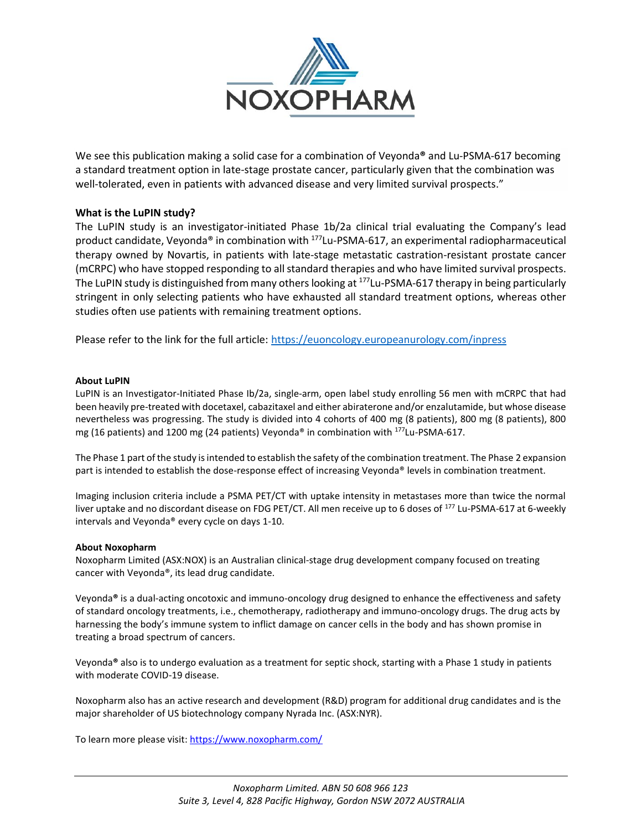

We see this publication making a solid case for a combination of Veyonda**®** and Lu-PSMA-617 becoming a standard treatment option in late-stage prostate cancer, particularly given that the combination was well-tolerated, even in patients with advanced disease and very limited survival prospects."

#### **What is the LuPIN study?**

The LuPIN study is an investigator-initiated Phase 1b/2a clinical trial evaluating the Company's lead product candidate, Veyonda® in combination with <sup>177</sup>Lu-PSMA-617, an experimental radiopharmaceutical therapy owned by Novartis, in patients with late-stage metastatic castration-resistant prostate cancer (mCRPC) who have stopped responding to all standard therapies and who have limited survival prospects. The LuPIN study is distinguished from many others looking at <sup>177</sup>Lu-PSMA-617 therapy in being particularly stringent in only selecting patients who have exhausted all standard treatment options, whereas other studies often use patients with remaining treatment options.

Please refer to the link for the full article: <https://euoncology.europeanurology.com/inpress>

#### **About LuPIN**

LuPIN is an Investigator-Initiated Phase Ib/2a, single-arm, open label study enrolling 56 men with mCRPC that had been heavily pre-treated with docetaxel, cabazitaxel and either abiraterone and/or enzalutamide, but whose disease nevertheless was progressing. The study is divided into 4 cohorts of 400 mg (8 patients), 800 mg (8 patients), 800 mg (16 patients) and 1200 mg (24 patients) Veyonda® in combination with <sup>177</sup>Lu-PSMA-617.

The Phase 1 part of the study is intended to establish the safety of the combination treatment. The Phase 2 expansion part is intended to establish the dose-response effect of increasing Veyonda® levels in combination treatment.

Imaging inclusion criteria include a PSMA PET/CT with uptake intensity in metastases more than twice the normal liver uptake and no discordant disease on FDG PET/CT. All men receive up to 6 doses of <sup>177</sup> Lu-PSMA-617 at 6-weekly intervals and Veyonda® every cycle on days 1-10.

#### **About Noxopharm**

Noxopharm Limited (ASX:NOX) is an Australian clinical-stage drug development company focused on treating cancer with Veyonda®, its lead drug candidate.

Veyonda**®** is a dual-acting oncotoxic and immuno-oncology drug designed to enhance the effectiveness and safety of standard oncology treatments, i.e., chemotherapy, radiotherapy and immuno-oncology drugs. The drug acts by harnessing the body's immune system to inflict damage on cancer cells in the body and has shown promise in treating a broad spectrum of cancers.

Veyonda**®** also is to undergo evaluation as a treatment for septic shock, starting with a Phase 1 study in patients with moderate COVID-19 disease.

Noxopharm also has an active research and development (R&D) program for additional drug candidates and is the major shareholder of US biotechnology company Nyrada Inc. (ASX:NYR).

To learn more please visit:<https://www.noxopharm.com/>